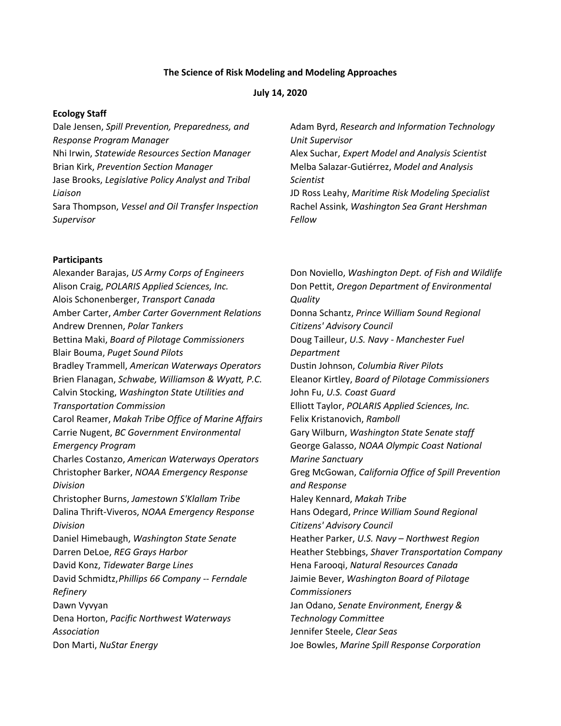#### **The Science of Risk Modeling and Modeling Approaches**

#### **July 14, 2020**

#### **Ecology Staff**

Dale Jensen, *Spill Prevention, Preparedness, and Response Program Manager* Nhi Irwin, *Statewide Resources Section Manager* Brian Kirk, *Prevention Section Manager* Jase Brooks, *Legislative Policy Analyst and Tribal Liaison* Sara Thompson, *Vessel and Oil Transfer Inspection Supervisor*

#### **Participants**

Alexander Barajas, *US Army Corps of Engineers* Alison Craig, *POLARIS Applied Sciences, Inc.* Alois Schonenberger, *Transport Canada* Amber Carter, *Amber Carter Government Relations* Andrew Drennen, *Polar Tankers* Bettina Maki, *Board of Pilotage Commissioners* Blair Bouma, *Puget Sound Pilots* Bradley Trammell, *American Waterways Operators* Brien Flanagan, *Schwabe, Williamson & Wyatt, P.C.* Calvin Stocking, *Washington State Utilities and Transportation Commission* Carol Reamer, *Makah Tribe Office of Marine Affairs* Carrie Nugent, *BC Government Environmental Emergency Program* Charles Costanzo, *American Waterways Operators* Christopher Barker, *NOAA Emergency Response Division* Christopher Burns, *Jamestown S'Klallam Tribe* Dalina Thrift-Viveros, *NOAA Emergency Response Division* Daniel Himebaugh, *Washington State Senate* Darren DeLoe, *REG Grays Harbor* David Konz, *Tidewater Barge Lines* David Schmidtz,*Phillips 66 Company -- Ferndale Refinery* Dawn Vyvyan Dena Horton, *Pacific Northwest Waterways Association* Don Marti, *NuStar Energy*

Adam Byrd, *Research and Information Technology Unit Supervisor* Alex Suchar, *Expert Model and Analysis Scientist* Melba Salazar-Gutiérrez, *Model and Analysis Scientist* JD Ross Leahy, *Maritime Risk Modeling Specialist*  Rachel Assink, *Washington Sea Grant Hershman Fellow*

Don Noviello, *Washington Dept. of Fish and Wildlife* Don Pettit, *Oregon Department of Environmental Quality* Donna Schantz, *Prince William Sound Regional Citizens' Advisory Council* Doug Tailleur, *U.S. Navy - Manchester Fuel Department* Dustin Johnson, *Columbia River Pilots* Eleanor Kirtley, *Board of Pilotage Commissioners* John Fu, *U.S. Coast Guard* Elliott Taylor, *POLARIS Applied Sciences, Inc.* Felix Kristanovich, *Ramboll* Gary Wilburn, *Washington State Senate staff* George Galasso, *NOAA Olympic Coast National Marine Sanctuary* Greg McGowan, *California Office of Spill Prevention and Response* Haley Kennard, *Makah Tribe* Hans Odegard, *Prince William Sound Regional Citizens' Advisory Council* Heather Parker, *U.S. Navy – Northwest Region* Heather Stebbings, *Shaver Transportation Company* Hena Farooqi, *Natural Resources Canada* Jaimie Bever, *Washington Board of Pilotage Commissioners* Jan Odano, *Senate Environment, Energy & Technology Committee* Jennifer Steele, *Clear Seas* Joe Bowles, *Marine Spill Response Corporation*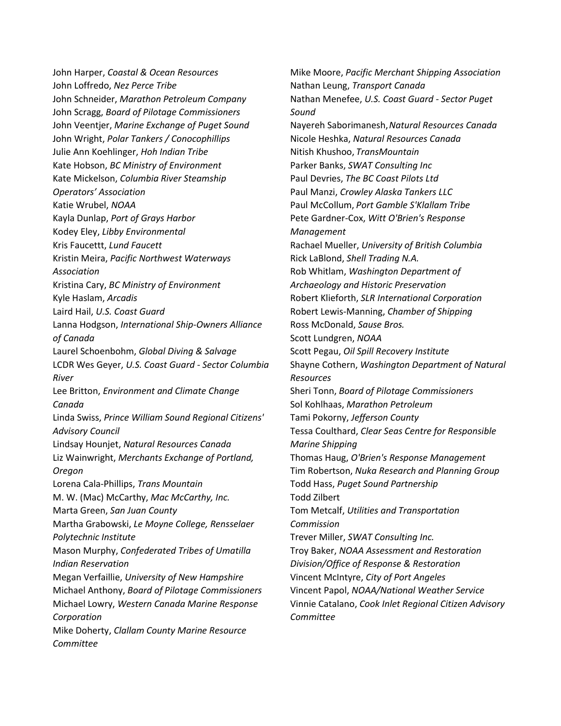John Harper, *Coastal & Ocean Resources* John Loffredo, *Nez Perce Tribe* John Schneider, *Marathon Petroleum Company* John Scragg, *Board of Pilotage Commissioners* John Veentjer, *Marine Exchange of Puget Sound* John Wright, *Polar Tankers / Conocophillips* Julie Ann Koehlinger, *Hoh Indian Tribe* Kate Hobson, *BC Ministry of Environment* Kate Mickelson, *Columbia River Steamship Operators' Association* Katie Wrubel, *NOAA* Kayla Dunlap, *Port of Grays Harbor* Kodey Eley, *Libby Environmental* Kris Faucettt, *Lund Faucett* Kristin Meira, *Pacific Northwest Waterways Association* Kristina Cary, *BC Ministry of Environment* Kyle Haslam, *Arcadis* Laird Hail, *U.S. Coast Guard* Lanna Hodgson, *International Ship-Owners Alliance of Canada* Laurel Schoenbohm, *Global Diving & Salvage* LCDR Wes Geyer, *U.S. Coast Guard - Sector Columbia River* Lee Britton, *Environment and Climate Change Canada* Linda Swiss, *Prince William Sound Regional Citizens' Advisory Council* Lindsay Hounjet, *Natural Resources Canada* Liz Wainwright, *Merchants Exchange of Portland, Oregon*  Lorena Cala-Phillips, *Trans Mountain* M. W. (Mac) McCarthy, *Mac McCarthy, Inc.* Marta Green, *San Juan County* Martha Grabowski, *Le Moyne College, Rensselaer Polytechnic Institute* Mason Murphy, *Confederated Tribes of Umatilla Indian Reservation* Megan Verfaillie, *University of New Hampshire* Michael Anthony, *Board of Pilotage Commissioners* Michael Lowry, *Western Canada Marine Response Corporation* Mike Doherty, *Clallam County Marine Resource Committee*

Mike Moore, *Pacific Merchant Shipping Association* Nathan Leung, *Transport Canada* Nathan Menefee, *U.S. Coast Guard - Sector Puget Sound* Nayereh Saborimanesh,*Natural Resources Canada* Nicole Heshka, *Natural Resources Canada* Nitish Khushoo, *TransMountain* Parker Banks, *SWAT Consulting Inc* Paul Devries, *The BC Coast Pilots Ltd* Paul Manzi, *Crowley Alaska Tankers LLC* Paul McCollum, *Port Gamble S'Klallam Tribe* Pete Gardner-Cox, *Witt O'Brien's Response Management* Rachael Mueller, *University of British Columbia* Rick LaBlond, *Shell Trading N.A.* Rob Whitlam, *Washington Department of Archaeology and Historic Preservation* Robert Klieforth, *SLR International Corporation* Robert Lewis-Manning, *Chamber of Shipping* Ross McDonald, *Sause Bros.* Scott Lundgren, *NOAA* Scott Pegau, *Oil Spill Recovery Institute* Shayne Cothern, *Washington Department of Natural Resources* Sheri Tonn, *Board of Pilotage Commissioners* Sol Kohlhaas, *Marathon Petroleum* Tami Pokorny, *Jefferson County* Tessa Coulthard, *Clear Seas Centre for Responsible Marine Shipping* Thomas Haug, *O'Brien's Response Management* Tim Robertson, *Nuka Research and Planning Group* Todd Hass, *Puget Sound Partnership* Todd Zilbert Tom Metcalf, *Utilities and Transportation Commission* Trever Miller, *SWAT Consulting Inc.* Troy Baker, *NOAA Assessment and Restoration Division/Office of Response & Restoration* Vincent McIntyre, *City of Port Angeles* Vincent Papol, *NOAA/National Weather Service* Vinnie Catalano, *Cook Inlet Regional Citizen Advisory Committee*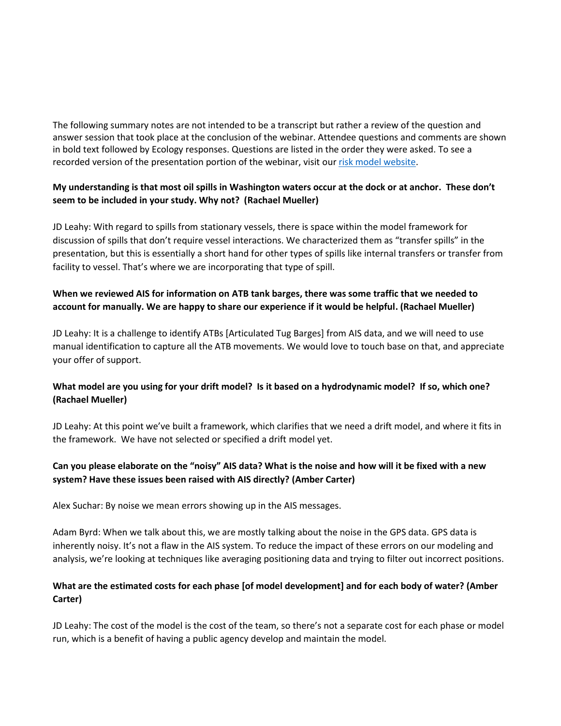The following summary notes are not intended to be a transcript but rather a review of the question and answer session that took place at the conclusion of the webinar. Attendee questions and comments are shown in bold text followed by Ecology responses. Questions are listed in the order they were asked. To see a recorded version of the presentation portion of the webinar, visit ou[r risk model website.](http://ecykenpub/cmsctx/pv/241781f3-654c-4198-a017-c536bf3917e3/culture/en-US/wg/88352c33-5829-4d5f-87e0-521bf507208b/h/03b71704d3fe5f279c001a90a40108271115559793bd1f2edc783bb72d84e41f/-/cms/getdoc/7db6c78c-53ca-4bd8-9c22-ef671b648773/pv.aspx)

#### **My understanding is that most oil spills in Washington waters occur at the dock or at anchor. These don't seem to be included in your study. Why not? (Rachael Mueller)**

JD Leahy: With regard to spills from stationary vessels, there is space within the model framework for discussion of spills that don't require vessel interactions. We characterized them as "transfer spills" in the presentation, but this is essentially a short hand for other types of spills like internal transfers or transfer from facility to vessel. That's where we are incorporating that type of spill.

## **When we reviewed AIS for information on ATB tank barges, there was some traffic that we needed to account for manually. We are happy to share our experience if it would be helpful. (Rachael Mueller)**

JD Leahy: It is a challenge to identify ATBs [Articulated Tug Barges] from AIS data, and we will need to use manual identification to capture all the ATB movements. We would love to touch base on that, and appreciate your offer of support.

# **What model are you using for your drift model? Is it based on a hydrodynamic model? If so, which one? (Rachael Mueller)**

JD Leahy: At this point we've built a framework, which clarifies that we need a drift model, and where it fits in the framework. We have not selected or specified a drift model yet.

## **Can you please elaborate on the "noisy" AIS data? What is the noise and how will it be fixed with a new system? Have these issues been raised with AIS directly? (Amber Carter)**

Alex Suchar: By noise we mean errors showing up in the AIS messages.

Adam Byrd: When we talk about this, we are mostly talking about the noise in the GPS data. GPS data is inherently noisy. It's not a flaw in the AIS system. To reduce the impact of these errors on our modeling and analysis, we're looking at techniques like averaging positioning data and trying to filter out incorrect positions.

## **What are the estimated costs for each phase [of model development] and for each body of water? (Amber Carter)**

JD Leahy: The cost of the model is the cost of the team, so there's not a separate cost for each phase or model run, which is a benefit of having a public agency develop and maintain the model.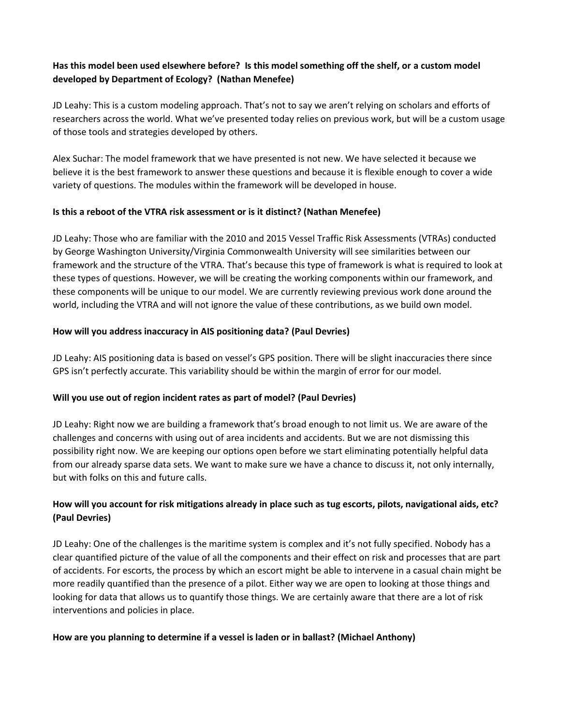## **Has this model been used elsewhere before? Is this model something off the shelf, or a custom model developed by Department of Ecology? (Nathan Menefee)**

JD Leahy: This is a custom modeling approach. That's not to say we aren't relying on scholars and efforts of researchers across the world. What we've presented today relies on previous work, but will be a custom usage of those tools and strategies developed by others.

Alex Suchar: The model framework that we have presented is not new. We have selected it because we believe it is the best framework to answer these questions and because it is flexible enough to cover a wide variety of questions. The modules within the framework will be developed in house.

#### **Is this a reboot of the VTRA risk assessment or is it distinct? (Nathan Menefee)**

JD Leahy: Those who are familiar with the 2010 and 2015 Vessel Traffic Risk Assessments (VTRAs) conducted by George Washington University/Virginia Commonwealth University will see similarities between our framework and the structure of the VTRA. That's because this type of framework is what is required to look at these types of questions. However, we will be creating the working components within our framework, and these components will be unique to our model. We are currently reviewing previous work done around the world, including the VTRA and will not ignore the value of these contributions, as we build own model.

#### **How will you address inaccuracy in AIS positioning data? (Paul Devries)**

JD Leahy: AIS positioning data is based on vessel's GPS position. There will be slight inaccuracies there since GPS isn't perfectly accurate. This variability should be within the margin of error for our model.

# **Will you use out of region incident rates as part of model? (Paul Devries)**

JD Leahy: Right now we are building a framework that's broad enough to not limit us. We are aware of the challenges and concerns with using out of area incidents and accidents. But we are not dismissing this possibility right now. We are keeping our options open before we start eliminating potentially helpful data from our already sparse data sets. We want to make sure we have a chance to discuss it, not only internally, but with folks on this and future calls.

# **How will you account for risk mitigations already in place such as tug escorts, pilots, navigational aids, etc? (Paul Devries)**

JD Leahy: One of the challenges is the maritime system is complex and it's not fully specified. Nobody has a clear quantified picture of the value of all the components and their effect on risk and processes that are part of accidents. For escorts, the process by which an escort might be able to intervene in a casual chain might be more readily quantified than the presence of a pilot. Either way we are open to looking at those things and looking for data that allows us to quantify those things. We are certainly aware that there are a lot of risk interventions and policies in place.

#### **How are you planning to determine if a vessel is laden or in ballast? (Michael Anthony)**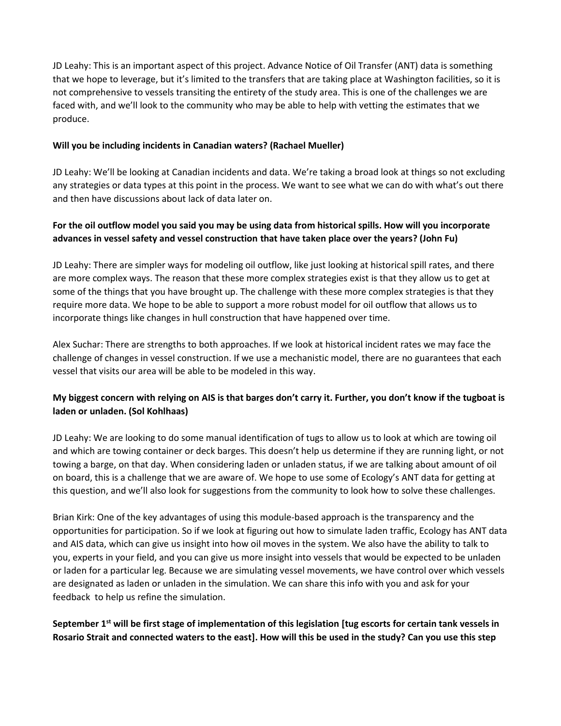JD Leahy: This is an important aspect of this project. Advance Notice of Oil Transfer (ANT) data is something that we hope to leverage, but it's limited to the transfers that are taking place at Washington facilities, so it is not comprehensive to vessels transiting the entirety of the study area. This is one of the challenges we are faced with, and we'll look to the community who may be able to help with vetting the estimates that we produce.

#### **Will you be including incidents in Canadian waters? (Rachael Mueller)**

JD Leahy: We'll be looking at Canadian incidents and data. We're taking a broad look at things so not excluding any strategies or data types at this point in the process. We want to see what we can do with what's out there and then have discussions about lack of data later on.

# **For the oil outflow model you said you may be using data from historical spills. How will you incorporate advances in vessel safety and vessel construction that have taken place over the years? (John Fu)**

JD Leahy: There are simpler ways for modeling oil outflow, like just looking at historical spill rates, and there are more complex ways. The reason that these more complex strategies exist is that they allow us to get at some of the things that you have brought up. The challenge with these more complex strategies is that they require more data. We hope to be able to support a more robust model for oil outflow that allows us to incorporate things like changes in hull construction that have happened over time.

Alex Suchar: There are strengths to both approaches. If we look at historical incident rates we may face the challenge of changes in vessel construction. If we use a mechanistic model, there are no guarantees that each vessel that visits our area will be able to be modeled in this way.

# **My biggest concern with relying on AIS is that barges don't carry it. Further, you don't know if the tugboat is laden or unladen. (Sol Kohlhaas)**

JD Leahy: We are looking to do some manual identification of tugs to allow us to look at which are towing oil and which are towing container or deck barges. This doesn't help us determine if they are running light, or not towing a barge, on that day. When considering laden or unladen status, if we are talking about amount of oil on board, this is a challenge that we are aware of. We hope to use some of Ecology's ANT data for getting at this question, and we'll also look for suggestions from the community to look how to solve these challenges.

Brian Kirk: One of the key advantages of using this module-based approach is the transparency and the opportunities for participation. So if we look at figuring out how to simulate laden traffic, Ecology has ANT data and AIS data, which can give us insight into how oil moves in the system. We also have the ability to talk to you, experts in your field, and you can give us more insight into vessels that would be expected to be unladen or laden for a particular leg. Because we are simulating vessel movements, we have control over which vessels are designated as laden or unladen in the simulation. We can share this info with you and ask for your feedback to help us refine the simulation.

# **September 1 st will be first stage of implementation of this legislation [tug escorts for certain tank vessels in Rosario Strait and connected waters to the east]. How will this be used in the study? Can you use this step**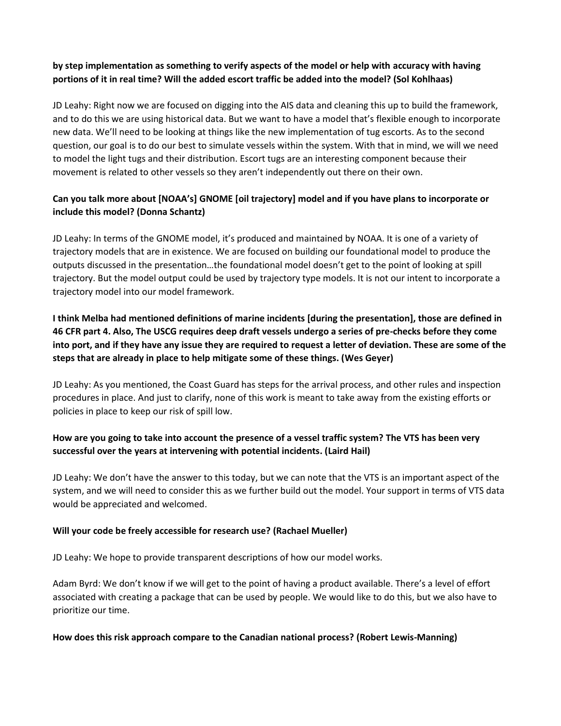## **by step implementation as something to verify aspects of the model or help with accuracy with having portions of it in real time? Will the added escort traffic be added into the model? (Sol Kohlhaas)**

JD Leahy: Right now we are focused on digging into the AIS data and cleaning this up to build the framework, and to do this we are using historical data. But we want to have a model that's flexible enough to incorporate new data. We'll need to be looking at things like the new implementation of tug escorts. As to the second question, our goal is to do our best to simulate vessels within the system. With that in mind, we will we need to model the light tugs and their distribution. Escort tugs are an interesting component because their movement is related to other vessels so they aren't independently out there on their own.

# **Can you talk more about [NOAA's] GNOME [oil trajectory] model and if you have plans to incorporate or include this model? (Donna Schantz)**

JD Leahy: In terms of the GNOME model, it's produced and maintained by NOAA. It is one of a variety of trajectory models that are in existence. We are focused on building our foundational model to produce the outputs discussed in the presentation…the foundational model doesn't get to the point of looking at spill trajectory. But the model output could be used by trajectory type models. It is not our intent to incorporate a trajectory model into our model framework.

**I think Melba had mentioned definitions of marine incidents [during the presentation], those are defined in 46 CFR part 4. Also, The USCG requires deep draft vessels undergo a series of pre-checks before they come into port, and if they have any issue they are required to request a letter of deviation. These are some of the steps that are already in place to help mitigate some of these things. (Wes Geyer)**

JD Leahy: As you mentioned, the Coast Guard has steps for the arrival process, and other rules and inspection procedures in place. And just to clarify, none of this work is meant to take away from the existing efforts or policies in place to keep our risk of spill low.

## **How are you going to take into account the presence of a vessel traffic system? The VTS has been very successful over the years at intervening with potential incidents. (Laird Hail)**

JD Leahy: We don't have the answer to this today, but we can note that the VTS is an important aspect of the system, and we will need to consider this as we further build out the model. Your support in terms of VTS data would be appreciated and welcomed.

#### **Will your code be freely accessible for research use? (Rachael Mueller)**

JD Leahy: We hope to provide transparent descriptions of how our model works.

Adam Byrd: We don't know if we will get to the point of having a product available. There's a level of effort associated with creating a package that can be used by people. We would like to do this, but we also have to prioritize our time.

#### **How does this risk approach compare to the Canadian national process? (Robert Lewis-Manning)**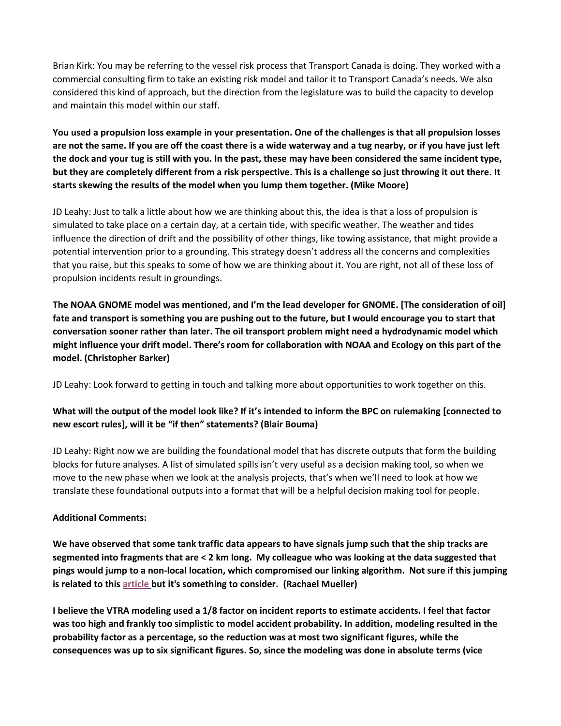Brian Kirk: You may be referring to the vessel risk process that Transport Canada is doing. They worked with a commercial consulting firm to take an existing risk model and tailor it to Transport Canada's needs. We also considered this kind of approach, but the direction from the legislature was to build the capacity to develop and maintain this model within our staff.

**You used a propulsion loss example in your presentation. One of the challenges is that all propulsion losses are not the same. If you are off the coast there is a wide waterway and a tug nearby, or if you have just left the dock and your tug is still with you. In the past, these may have been considered the same incident type, but they are completely different from a risk perspective. This is a challenge so just throwing it out there. It starts skewing the results of the model when you lump them together. (Mike Moore)**

JD Leahy: Just to talk a little about how we are thinking about this, the idea is that a loss of propulsion is simulated to take place on a certain day, at a certain tide, with specific weather. The weather and tides influence the direction of drift and the possibility of other things, like towing assistance, that might provide a potential intervention prior to a grounding. This strategy doesn't address all the concerns and complexities that you raise, but this speaks to some of how we are thinking about it. You are right, not all of these loss of propulsion incidents result in groundings.

**The NOAA GNOME model was mentioned, and I'm the lead developer for GNOME. [The consideration of oil] fate and transport is something you are pushing out to the future, but I would encourage you to start that conversation sooner rather than later. The oil transport problem might need a hydrodynamic model which might influence your drift model. There's room for collaboration with NOAA and Ecology on this part of the model. (Christopher Barker)**

JD Leahy: Look forward to getting in touch and talking more about opportunities to work together on this.

# **What will the output of the model look like? If it's intended to inform the BPC on rulemaking [connected to new escort rules], will it be "if then" statements? (Blair Bouma)**

JD Leahy: Right now we are building the foundational model that has discrete outputs that form the building blocks for future analyses. A list of simulated spills isn't very useful as a decision making tool, so when we move to the new phase when we look at the analysis projects, that's when we'll need to look at how we translate these foundational outputs into a format that will be a helpful decision making tool for people.

# **Additional Comments:**

**We have observed that some tank traffic data appears to have signals jump such that the ship tracks are segmented into fragments that are < 2 km long. My colleague who was looking at the data suggested that pings would jump to a non-local location, which compromised our linking algorithm. Not sure if this jumping is related to this [article](https://skytruth.org/2020/05/ais-ship-tracking-data-shows-false-vessel-tracks-circling-above-point-reyes-near-san-francisco/) but it's something to consider. (Rachael Mueller)**

**I believe the VTRA modeling used a 1/8 factor on incident reports to estimate accidents. I feel that factor was too high and frankly too simplistic to model accident probability. In addition, modeling resulted in the probability factor as a percentage, so the reduction was at most two significant figures, while the consequences was up to six significant figures. So, since the modeling was done in absolute terms (vice**